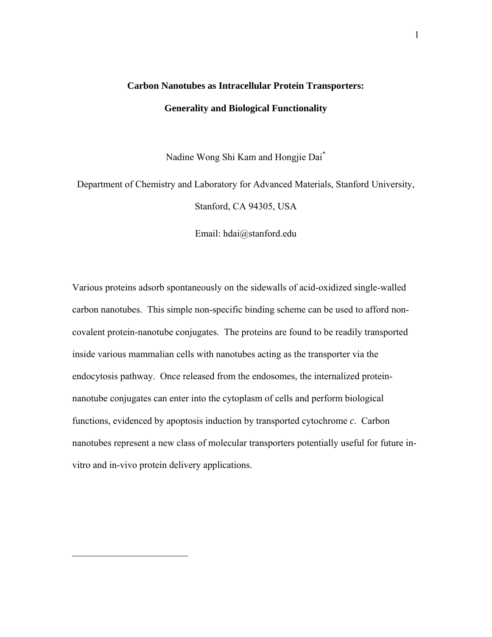# **Carbon Nanotubes as Intracellular Protein Transporters: Generality and Biological Functionality**

Nadine Wong Shi Kam and Hongjie Dai\*

Department of Chemistry and Laboratory for Advanced Materials, Stanford University, Stanford, CA 94305, USA

Email: hdai@stanford.edu

Various proteins adsorb spontaneously on the sidewalls of acid-oxidized single-walled carbon nanotubes. This simple non-specific binding scheme can be used to afford noncovalent protein-nanotube conjugates. The proteins are found to be readily transported inside various mammalian cells with nanotubes acting as the transporter via the endocytosis pathway. Once released from the endosomes, the internalized proteinnanotube conjugates can enter into the cytoplasm of cells and perform biological functions, evidenced by apoptosis induction by transported cytochrome *c*. Carbon nanotubes represent a new class of molecular transporters potentially useful for future invitro and in-vivo protein delivery applications.

1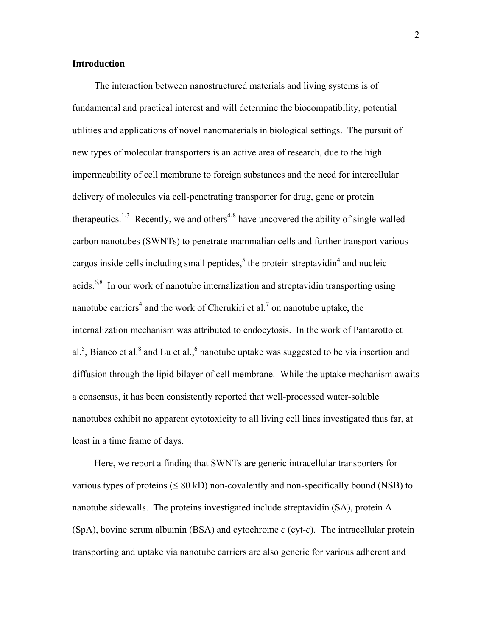#### **Introduction**

The interaction between nanostructured materials and living systems is of fundamental and practical interest and will determine the biocompatibility, potential utilities and applications of novel nanomaterials in biological settings. The pursuit of new types of molecular transporters is an active area of research, due to the high impermeability of cell membrane to foreign substances and the need for intercellular delivery of molecules via cell-penetrating transporter for drug, gene or protein therapeutics.<sup>1-3</sup> Recently, we and others<sup>4-8</sup> have uncovered the ability of single-walled carbon nanotubes (SWNTs) to penetrate mammalian cells and further transport various cargos inside cells including small peptides,<sup>5</sup> the protein streptavidin<sup>4</sup> and nucleic acids.6,8 In our work of nanotube internalization and streptavidin transporting using nanotube carriers<sup>4</sup> and the work of Cherukiri et al.<sup>7</sup> on nanotube uptake, the internalization mechanism was attributed to endocytosis. In the work of Pantarotto et al.<sup>5</sup>, Bianco et al.<sup>8</sup> and Lu et al.,<sup>6</sup> nanotube uptake was suggested to be via insertion and diffusion through the lipid bilayer of cell membrane. While the uptake mechanism awaits a consensus, it has been consistently reported that well-processed water-soluble nanotubes exhibit no apparent cytotoxicity to all living cell lines investigated thus far, at least in a time frame of days.

Here, we report a finding that SWNTs are generic intracellular transporters for various types of proteins ( $\leq 80 \text{ kD}$ ) non-covalently and non-specifically bound (NSB) to nanotube sidewalls. The proteins investigated include streptavidin (SA), protein A (SpA), bovine serum albumin (BSA) and cytochrome *c* (cyt-*c*). The intracellular protein transporting and uptake via nanotube carriers are also generic for various adherent and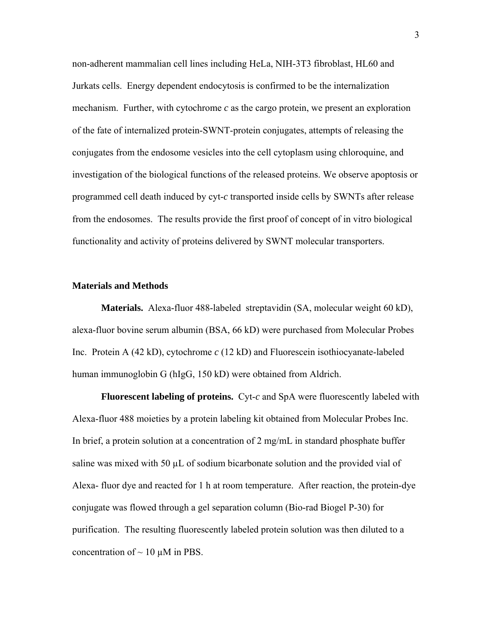non-adherent mammalian cell lines including HeLa, NIH-3T3 fibroblast, HL60 and Jurkats cells. Energy dependent endocytosis is confirmed to be the internalization mechanism. Further, with cytochrome *c* as the cargo protein, we present an exploration of the fate of internalized protein-SWNT-protein conjugates, attempts of releasing the conjugates from the endosome vesicles into the cell cytoplasm using chloroquine, and investigation of the biological functions of the released proteins. We observe apoptosis or programmed cell death induced by cyt-*c* transported inside cells by SWNTs after release from the endosomes. The results provide the first proof of concept of in vitro biological functionality and activity of proteins delivered by SWNT molecular transporters.

#### **Materials and Methods**

**Materials.** Alexa-fluor 488-labeled streptavidin (SA, molecular weight 60 kD), alexa-fluor bovine serum albumin (BSA, 66 kD) were purchased from Molecular Probes Inc. Protein A (42 kD), cytochrome *c* (12 kD) and Fluorescein isothiocyanate-labeled human immunoglobin G (hIgG, 150 kD) were obtained from Aldrich.

**Fluorescent labeling of proteins.** Cyt-*c* and SpA were fluorescently labeled with Alexa-fluor 488 moieties by a protein labeling kit obtained from Molecular Probes Inc. In brief, a protein solution at a concentration of 2 mg/mL in standard phosphate buffer saline was mixed with 50  $\mu$ L of sodium bicarbonate solution and the provided vial of Alexa- fluor dye and reacted for 1 h at room temperature. After reaction, the protein-dye conjugate was flowed through a gel separation column (Bio-rad Biogel P-30) for purification. The resulting fluorescently labeled protein solution was then diluted to a concentration of  $\sim$  10  $\mu$ M in PBS.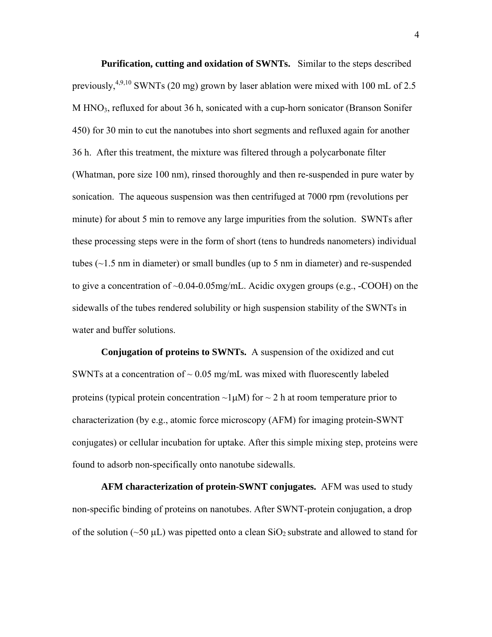**Purification, cutting and oxidation of SWNTs.** Similar to the steps described previously,<sup>4,9,10</sup> SWNTs (20 mg) grown by laser ablation were mixed with 100 mL of 2.5 M  $HNO<sub>3</sub>$ , refluxed for about 36 h, sonicated with a cup-horn sonicator (Branson Sonifer 450) for 30 min to cut the nanotubes into short segments and refluxed again for another 36 h. After this treatment, the mixture was filtered through a polycarbonate filter (Whatman, pore size 100 nm), rinsed thoroughly and then re-suspended in pure water by sonication. The aqueous suspension was then centrifuged at 7000 rpm (revolutions per minute) for about 5 min to remove any large impurities from the solution. SWNTs after these processing steps were in the form of short (tens to hundreds nanometers) individual tubes  $(\sim 1.5$  nm in diameter) or small bundles (up to 5 nm in diameter) and re-suspended to give a concentration of  $\sim 0.04$ -0.05mg/mL. Acidic oxygen groups (e.g., -COOH) on the sidewalls of the tubes rendered solubility or high suspension stability of the SWNTs in water and buffer solutions.

**Conjugation of proteins to SWNTs.** A suspension of the oxidized and cut SWNTs at a concentration of  $\sim 0.05$  mg/mL was mixed with fluorescently labeled proteins (typical protein concentration  $\neg$ 1µM) for  $\neg$  2 h at room temperature prior to characterization (by e.g., atomic force microscopy (AFM) for imaging protein-SWNT conjugates) or cellular incubation for uptake. After this simple mixing step, proteins were found to adsorb non-specifically onto nanotube sidewalls.

**AFM characterization of protein-SWNT conjugates.** AFM was used to study non-specific binding of proteins on nanotubes. After SWNT-protein conjugation, a drop of the solution ( $\sim$ 50  $\mu$ L) was pipetted onto a clean SiO<sub>2</sub> substrate and allowed to stand for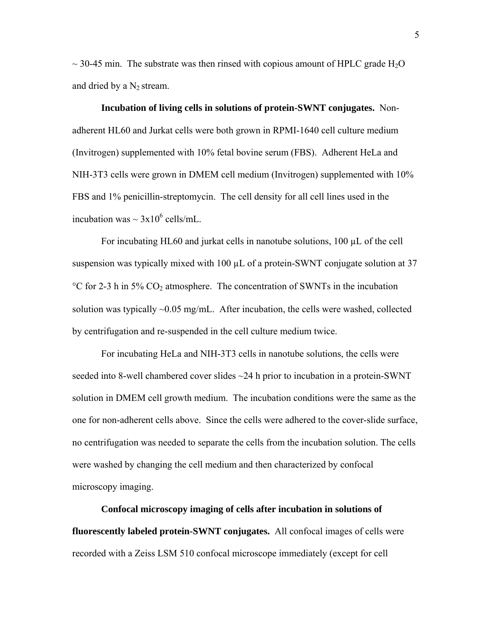$\sim$  30-45 min. The substrate was then rinsed with copious amount of HPLC grade H<sub>2</sub>O and dried by a  $N_2$  stream.

**Incubation of living cells in solutions of protein-SWNT conjugates.** Nonadherent HL60 and Jurkat cells were both grown in RPMI-1640 cell culture medium (Invitrogen) supplemented with 10% fetal bovine serum (FBS). Adherent HeLa and NIH-3T3 cells were grown in DMEM cell medium (Invitrogen) supplemented with 10% FBS and 1% penicillin-streptomycin. The cell density for all cell lines used in the incubation was  $\sim 3x10^6$  cells/mL.

For incubating HL60 and jurkat cells in nanotube solutions, 100 µL of the cell suspension was typically mixed with 100  $\mu$ L of a protein-SWNT conjugate solution at 37  $\rm{°C}$  for 2-3 h in 5% CO<sub>2</sub> atmosphere. The concentration of SWNTs in the incubation solution was typically  $\sim 0.05$  mg/mL. After incubation, the cells were washed, collected by centrifugation and re-suspended in the cell culture medium twice.

For incubating HeLa and NIH-3T3 cells in nanotube solutions, the cells were seeded into 8-well chambered cover slides ~24 h prior to incubation in a protein-SWNT solution in DMEM cell growth medium. The incubation conditions were the same as the one for non-adherent cells above. Since the cells were adhered to the cover-slide surface, no centrifugation was needed to separate the cells from the incubation solution. The cells were washed by changing the cell medium and then characterized by confocal microscopy imaging.

**Confocal microscopy imaging of cells after incubation in solutions of fluorescently labeled protein-SWNT conjugates.** All confocal images of cells were recorded with a Zeiss LSM 510 confocal microscope immediately (except for cell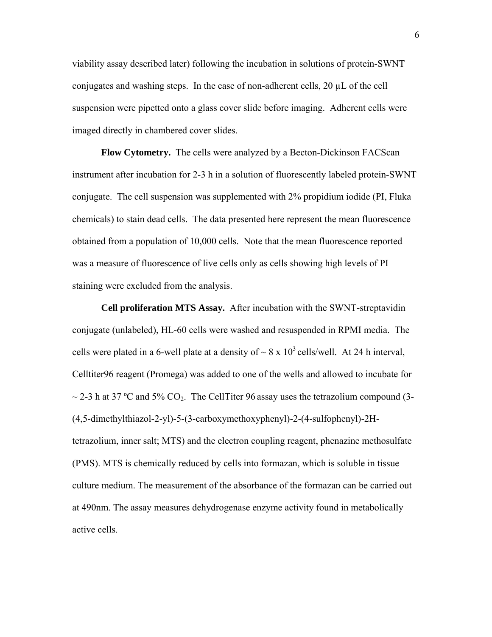viability assay described later) following the incubation in solutions of protein-SWNT conjugates and washing steps. In the case of non-adherent cells, 20 µL of the cell suspension were pipetted onto a glass cover slide before imaging. Adherent cells were imaged directly in chambered cover slides.

**Flow Cytometry.** The cells were analyzed by a Becton-Dickinson FACScan instrument after incubation for 2-3 h in a solution of fluorescently labeled protein-SWNT conjugate. The cell suspension was supplemented with 2% propidium iodide (PI, Fluka chemicals) to stain dead cells. The data presented here represent the mean fluorescence obtained from a population of 10,000 cells. Note that the mean fluorescence reported was a measure of fluorescence of live cells only as cells showing high levels of PI staining were excluded from the analysis.

**Cell proliferation MTS Assay.** After incubation with the SWNT-streptavidin conjugate (unlabeled), HL-60 cells were washed and resuspended in RPMI media. The cells were plated in a 6-well plate at a density of  $\sim 8 \times 10^3$  cells/well. At 24 h interval, Celltiter96 reagent (Promega) was added to one of the wells and allowed to incubate for  $\sim$  2-3 h at 37 °C and 5% CO<sub>2</sub>. The CellTiter 96 assay uses the tetrazolium compound (3-(4,5-dimethylthiazol-2-yl)-5-(3-carboxymethoxyphenyl)-2-(4-sulfophenyl)-2Htetrazolium, inner salt; MTS) and the electron coupling reagent, phenazine methosulfate (PMS). MTS is chemically reduced by cells into formazan, which is soluble in tissue culture medium. The measurement of the absorbance of the formazan can be carried out at 490nm. The assay measures dehydrogenase enzyme activity found in metabolically active cells.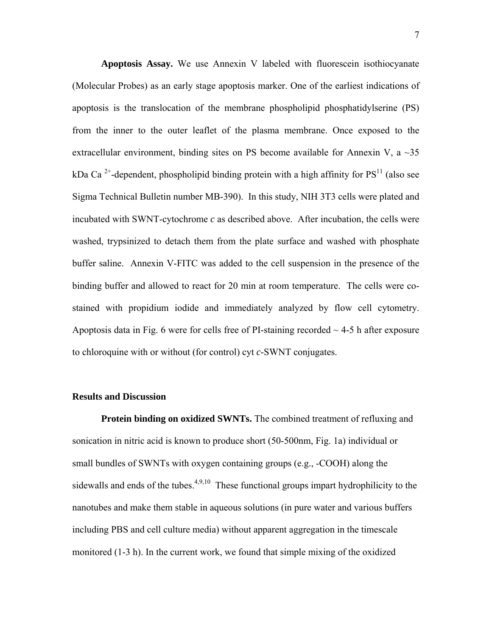**Apoptosis Assay.** We use Annexin V labeled with fluorescein isothiocyanate (Molecular Probes) as an early stage apoptosis marker. One of the earliest indications of apoptosis is the translocation of the membrane phospholipid phosphatidylserine (PS) from the inner to the outer leaflet of the plasma membrane. Once exposed to the extracellular environment, binding sites on PS become available for Annexin V, a  $\sim$ 35 kDa Ca<sup>2+</sup>-dependent, phospholipid binding protein with a high affinity for  $PS<sup>11</sup>$  (also see Sigma Technical Bulletin number MB-390). In this study, NIH 3T3 cells were plated and incubated with SWNT-cytochrome *c* as described above. After incubation, the cells were washed, trypsinized to detach them from the plate surface and washed with phosphate buffer saline. Annexin V-FITC was added to the cell suspension in the presence of the binding buffer and allowed to react for 20 min at room temperature. The cells were costained with propidium iodide and immediately analyzed by flow cell cytometry. Apoptosis data in Fig. 6 were for cells free of PI-staining recorded  $\sim$  4-5 h after exposure to chloroquine with or without (for control) cyt *c*-SWNT conjugates.

#### **Results and Discussion**

**Protein binding on oxidized SWNTs.** The combined treatment of refluxing and sonication in nitric acid is known to produce short (50-500nm, Fig. 1a) individual or small bundles of SWNTs with oxygen containing groups (e.g., -COOH) along the sidewalls and ends of the tubes.<sup>4,9,10</sup> These functional groups impart hydrophilicity to the nanotubes and make them stable in aqueous solutions (in pure water and various buffers including PBS and cell culture media) without apparent aggregation in the timescale monitored (1-3 h). In the current work, we found that simple mixing of the oxidized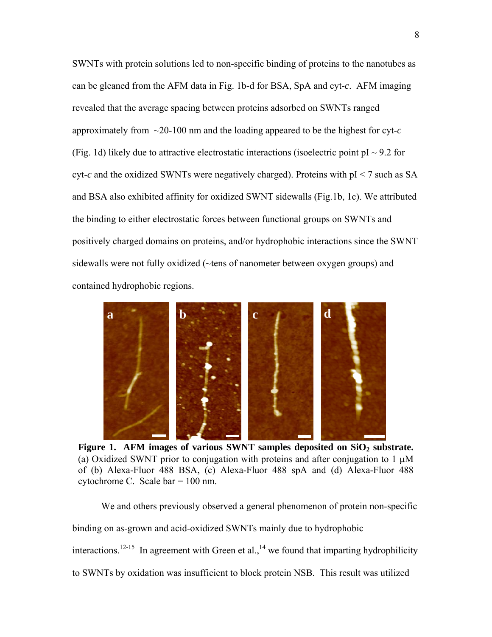SWNTs with protein solutions led to non-specific binding of proteins to the nanotubes as can be gleaned from the AFM data in Fig. 1b-d for BSA, SpA and cyt-*c*. AFM imaging revealed that the average spacing between proteins adsorbed on SWNTs ranged approximately from ~20-100 nm and the loading appeared to be the highest for cyt-*c* (Fig. 1d) likely due to attractive electrostatic interactions (isoelectric point  $pI \sim 9.2$  for cyt- $c$  and the oxidized SWNTs were negatively charged). Proteins with  $pI < 7$  such as SA and BSA also exhibited affinity for oxidized SWNT sidewalls (Fig.1b, 1c). We attributed the binding to either electrostatic forces between functional groups on SWNTs and positively charged domains on proteins, and/or hydrophobic interactions since the SWNT sidewalls were not fully oxidized (~tens of nanometer between oxygen groups) and contained hydrophobic regions.



Figure 1. AFM images of various SWNT samples deposited on SiO<sub>2</sub> substrate. (a) Oxidized SWNT prior to conjugation with proteins and after conjugation to  $1 \mu$ M of (b) Alexa-Fluor 488 BSA, (c) Alexa-Fluor 488 spA and (d) Alexa-Fluor 488 cytochrome C. Scale bar = 100 nm.

We and others previously observed a general phenomenon of protein non-specific binding on as-grown and acid-oxidized SWNTs mainly due to hydrophobic interactions.<sup>12-15</sup> In agreement with Green et al.,<sup>14</sup> we found that imparting hydrophilicity to SWNTs by oxidation was insufficient to block protein NSB. This result was utilized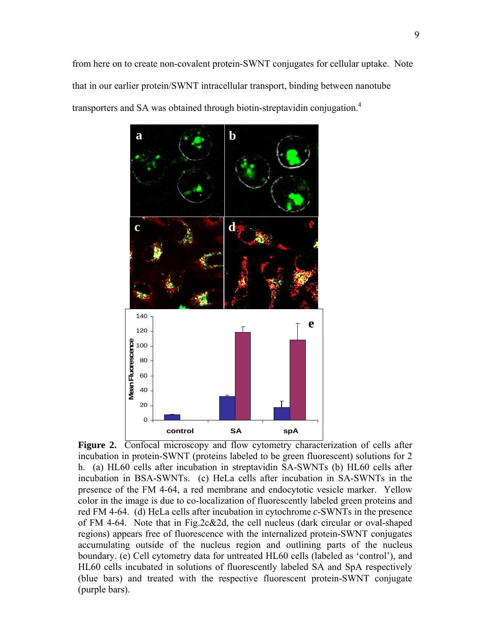

Figure 2. Confocal microscopy and flow cytometry characterization of cells after incubation in protein-SWNT (proteins labeled to be green fluorescent) solutions for 2 h. (a) HL60 cells after incubation in streptavidin SA-SWNTs (b) HL60 cells after incubation in BSA-SWNTs. (c) HeLa cells after incubation in SA-SWNTs in the presence of the FM 4-64, a red membrane and endocytotic vesicle marker. Yellow color in the image is due to co-localization of fluorescently labeled green proteins and red FM 4-64. (d) HeLa cells after incubation in cytochrome *c*-SWNTs in the presence of FM 4-64. Note that in Fig.2c&2d, the cell nucleus (dark circular or oval-shaped regions) appears free of fluorescence with the internalized protein-SWNT conjugates accumulating outside of the nucleus region and outlining parts of the nucleus boundary. (e) Cell cytometry data for untreated HL60 cells (labeled as 'control'), and HL60 cells incubated in solutions of fluorescently labeled SA and SpA respectively (blue bars) and treated with the respective fluorescent protein-SWNT conjugate (purple bars).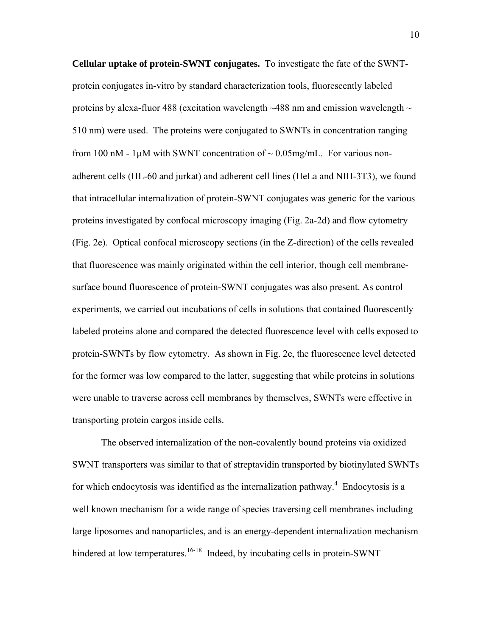**Cellular uptake of protein-SWNT conjugates.** To investigate the fate of the SWNTprotein conjugates in-vitro by standard characterization tools, fluorescently labeled proteins by alexa-fluor 488 (excitation wavelength  $\sim$  488 nm and emission wavelength  $\sim$ 510 nm) were used. The proteins were conjugated to SWNTs in concentration ranging from 100 nM - 1 $\mu$ M with SWNT concentration of  $\sim 0.05$ mg/mL. For various nonadherent cells (HL-60 and jurkat) and adherent cell lines (HeLa and NIH-3T3), we found that intracellular internalization of protein-SWNT conjugates was generic for the various proteins investigated by confocal microscopy imaging (Fig. 2a-2d) and flow cytometry (Fig. 2e). Optical confocal microscopy sections (in the Z-direction) of the cells revealed that fluorescence was mainly originated within the cell interior, though cell membranesurface bound fluorescence of protein-SWNT conjugates was also present. As control experiments, we carried out incubations of cells in solutions that contained fluorescently labeled proteins alone and compared the detected fluorescence level with cells exposed to protein-SWNTs by flow cytometry. As shown in Fig. 2e, the fluorescence level detected for the former was low compared to the latter, suggesting that while proteins in solutions were unable to traverse across cell membranes by themselves, SWNTs were effective in transporting protein cargos inside cells.

The observed internalization of the non-covalently bound proteins via oxidized SWNT transporters was similar to that of streptavidin transported by biotinylated SWNTs for which endocytosis was identified as the internalization pathway. $4$  Endocytosis is a well known mechanism for a wide range of species traversing cell membranes including large liposomes and nanoparticles, and is an energy-dependent internalization mechanism hindered at low temperatures.<sup>16-18</sup> Indeed, by incubating cells in protein-SWNT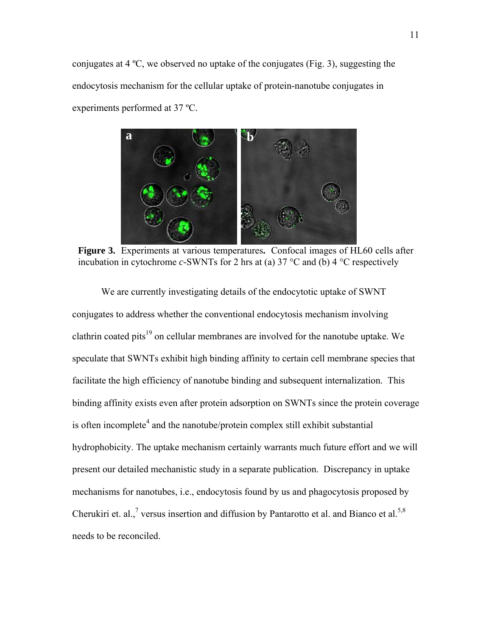conjugates at 4 ºC, we observed no uptake of the conjugates (Fig. 3), suggesting the endocytosis mechanism for the cellular uptake of protein-nanotube conjugates in experiments performed at 37 ºC.



**Figure 3.** Experiments at various temperatures**.** Confocal images of HL60 cells after incubation in cytochrome *c-*SWNTs for 2 hrs at (a) 37 °C and (b) 4 °C respectively

We are currently investigating details of the endocytotic uptake of SWNT conjugates to address whether the conventional endocytosis mechanism involving clathrin coated pits $^{19}$  on cellular membranes are involved for the nanotube uptake. We speculate that SWNTs exhibit high binding affinity to certain cell membrane species that facilitate the high efficiency of nanotube binding and subsequent internalization. This binding affinity exists even after protein adsorption on SWNTs since the protein coverage is often incomplete<sup>4</sup> and the nanotube/protein complex still exhibit substantial hydrophobicity. The uptake mechanism certainly warrants much future effort and we will present our detailed mechanistic study in a separate publication. Discrepancy in uptake mechanisms for nanotubes, i.e., endocytosis found by us and phagocytosis proposed by Cherukiri et. al.,<sup>7</sup> versus insertion and diffusion by Pantarotto et al. and Bianco et al.<sup>5,8</sup> needs to be reconciled.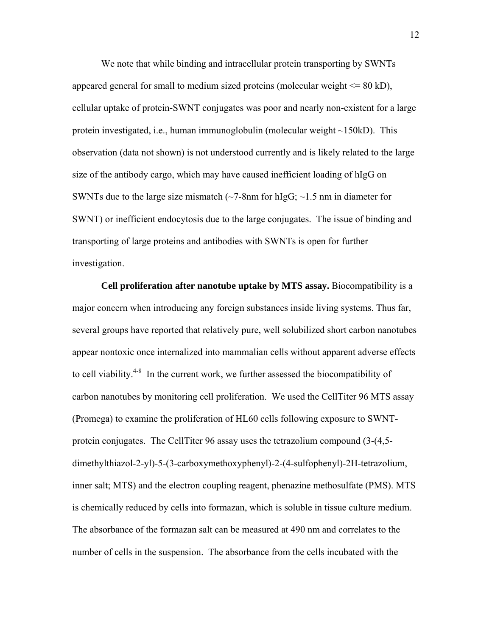We note that while binding and intracellular protein transporting by SWNTs appeared general for small to medium sized proteins (molecular weight  $\leq 80$  kD), cellular uptake of protein-SWNT conjugates was poor and nearly non-existent for a large protein investigated, i.e., human immunoglobulin (molecular weight ~150kD). This observation (data not shown) is not understood currently and is likely related to the large size of the antibody cargo, which may have caused inefficient loading of hIgG on SWNTs due to the large size mismatch  $\sim$ 7-8nm for hIgG;  $\sim$ 1.5 nm in diameter for SWNT) or inefficient endocytosis due to the large conjugates. The issue of binding and transporting of large proteins and antibodies with SWNTs is open for further investigation.

**Cell proliferation after nanotube uptake by MTS assay.** Biocompatibility is a major concern when introducing any foreign substances inside living systems. Thus far, several groups have reported that relatively pure, well solubilized short carbon nanotubes appear nontoxic once internalized into mammalian cells without apparent adverse effects to cell viability.<sup>4-8</sup> In the current work, we further assessed the biocompatibility of carbon nanotubes by monitoring cell proliferation. We used the CellTiter 96 MTS assay (Promega) to examine the proliferation of HL60 cells following exposure to SWNTprotein conjugates. The CellTiter 96 assay uses the tetrazolium compound (3-(4,5 dimethylthiazol-2-yl)-5-(3-carboxymethoxyphenyl)-2-(4-sulfophenyl)-2H-tetrazolium, inner salt; MTS) and the electron coupling reagent, phenazine methosulfate (PMS). MTS is chemically reduced by cells into formazan, which is soluble in tissue culture medium. The absorbance of the formazan salt can be measured at 490 nm and correlates to the number of cells in the suspension. The absorbance from the cells incubated with the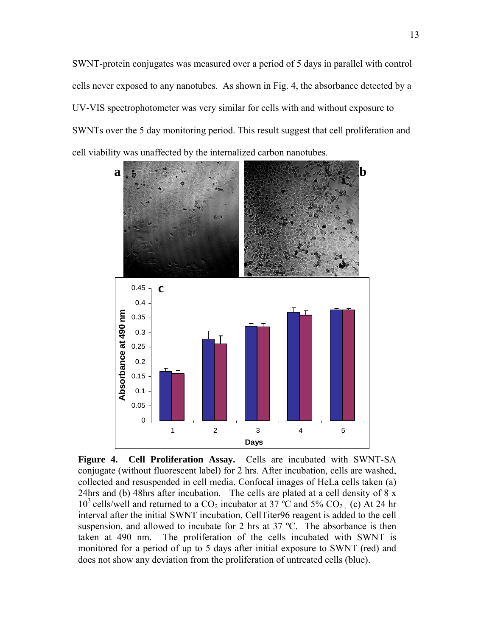SWNT-protein conjugates was measured over a period of 5 days in parallel with control cells never exposed to any nanotubes. As shown in Fig. 4, the absorbance detected by a UV-VIS spectrophotometer was very similar for cells with and without exposure to SWNTs over the 5 day monitoring period. This result suggest that cell proliferation and cell viability was unaffected by the internalized carbon nanotubes.



**Figure 4. Cell Proliferation Assay.** Cells are incubated with SWNT-SA conjugate (without fluorescent label) for 2 hrs. After incubation, cells are washed, collected and resuspended in cell media. Confocal images of HeLa cells taken (a) 24hrs and (b) 48hrs after incubation. The cells are plated at a cell density of 8 x  $10^3$  cells/well and returned to a CO<sub>2</sub> incubator at 37 °C and 5% CO<sub>2</sub> (c) At 24 hr interval after the initial SWNT incubation, CellTiter96 reagent is added to the cell suspension, and allowed to incubate for 2 hrs at 37 °C. The absorbance is then taken at 490 nm. The proliferation of the cells incubated with SWNT is monitored for a period of up to 5 days after initial exposure to SWNT (red) and does not show any deviation from the proliferation of untreated cells (blue).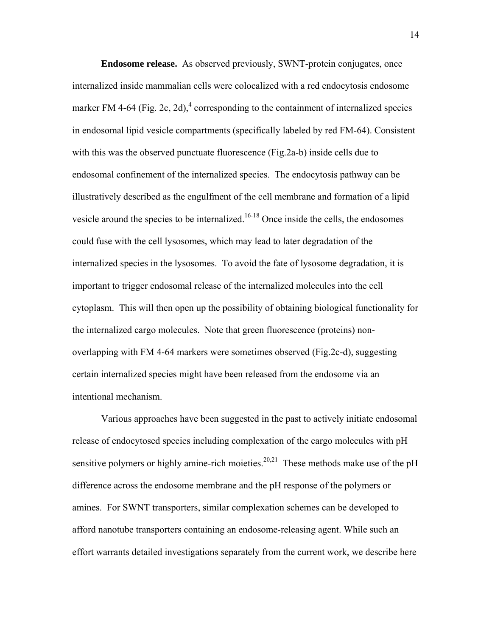**Endosome release.** As observed previously, SWNT-protein conjugates, once internalized inside mammalian cells were colocalized with a red endocytosis endosome marker FM 4-64 (Fig. 2c, 2d),<sup>4</sup> corresponding to the containment of internalized species in endosomal lipid vesicle compartments (specifically labeled by red FM-64). Consistent with this was the observed punctuate fluorescence (Fig.2a-b) inside cells due to endosomal confinement of the internalized species. The endocytosis pathway can be illustratively described as the engulfment of the cell membrane and formation of a lipid vesicle around the species to be internalized.<sup>16-18</sup> Once inside the cells, the endosomes could fuse with the cell lysosomes, which may lead to later degradation of the internalized species in the lysosomes. To avoid the fate of lysosome degradation, it is important to trigger endosomal release of the internalized molecules into the cell cytoplasm. This will then open up the possibility of obtaining biological functionality for the internalized cargo molecules. Note that green fluorescence (proteins) nonoverlapping with FM 4-64 markers were sometimes observed (Fig.2c-d), suggesting certain internalized species might have been released from the endosome via an intentional mechanism.

Various approaches have been suggested in the past to actively initiate endosomal release of endocytosed species including complexation of the cargo molecules with pH sensitive polymers or highly amine-rich moieties.<sup>20,21</sup> These methods make use of the pH difference across the endosome membrane and the pH response of the polymers or amines. For SWNT transporters, similar complexation schemes can be developed to afford nanotube transporters containing an endosome-releasing agent. While such an effort warrants detailed investigations separately from the current work, we describe here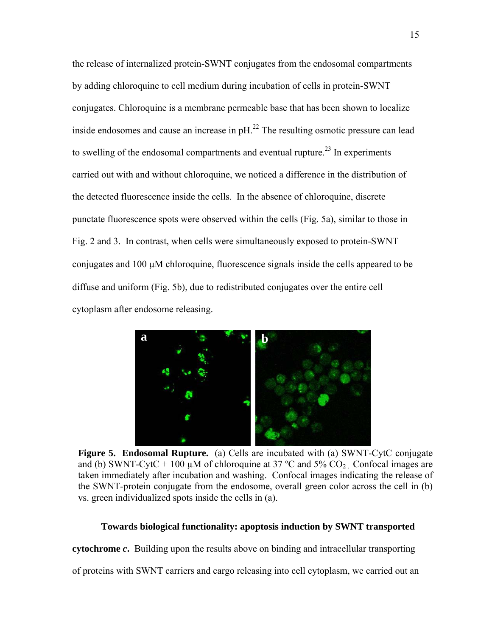the release of internalized protein-SWNT conjugates from the endosomal compartments by adding chloroquine to cell medium during incubation of cells in protein-SWNT conjugates. Chloroquine is a membrane permeable base that has been shown to localize inside endosomes and cause an increase in  $pH<sup>22</sup>$ . The resulting osmotic pressure can lead to swelling of the endosomal compartments and eventual rupture.<sup>23</sup> In experiments carried out with and without chloroquine, we noticed a difference in the distribution of the detected fluorescence inside the cells. In the absence of chloroquine, discrete punctate fluorescence spots were observed within the cells (Fig. 5a), similar to those in Fig. 2 and 3. In contrast, when cells were simultaneously exposed to protein-SWNT conjugates and 100 µM chloroquine, fluorescence signals inside the cells appeared to be diffuse and uniform (Fig. 5b), due to redistributed conjugates over the entire cell cytoplasm after endosome releasing.



**Figure 5. Endosomal Rupture.** (a) Cells are incubated with (a) SWNT-CytC conjugate and (b) SWNT-CytC + 100  $\mu$ M of chloroquine at 37 °C and 5% CO<sub>2</sub>. Confocal images are taken immediately after incubation and washing. Confocal images indicating the release of the SWNT-protein conjugate from the endosome, overall green color across the cell in (b) vs. green individualized spots inside the cells in (a).

#### **Towards biological functionality: apoptosis induction by SWNT transported**

**cytochrome** *c***.** Building upon the results above on binding and intracellular transporting

of proteins with SWNT carriers and cargo releasing into cell cytoplasm, we carried out an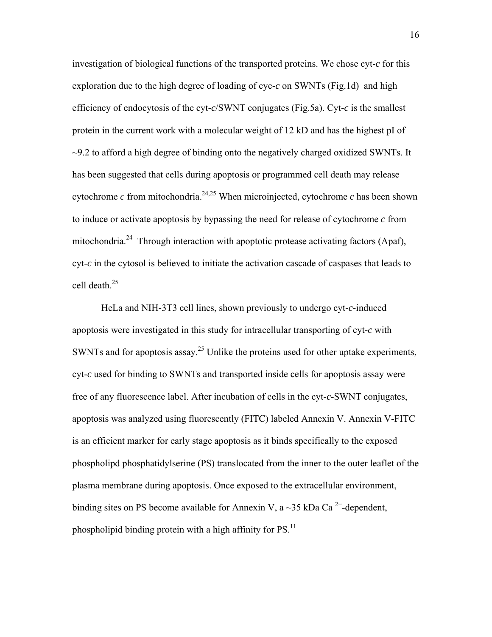investigation of biological functions of the transported proteins. We chose cyt-*c* for this exploration due to the high degree of loading of cyc-*c* on SWNTs (Fig.1d) and high efficiency of endocytosis of the cyt-*c*/SWNT conjugates (Fig.5a). Cyt-*c* is the smallest protein in the current work with a molecular weight of 12 kD and has the highest pI of  $\sim$ 9.2 to afford a high degree of binding onto the negatively charged oxidized SWNTs. It has been suggested that cells during apoptosis or programmed cell death may release cytochrome  $c$  from mitochondria.<sup>24,25</sup> When microinjected, cytochrome  $c$  has been shown to induce or activate apoptosis by bypassing the need for release of cytochrome *c* from mitochondria.<sup>24</sup> Through interaction with apoptotic protease activating factors (Apaf), cyt-*c* in the cytosol is believed to initiate the activation cascade of caspases that leads to cell death.25

HeLa and NIH-3T3 cell lines, shown previously to undergo cyt-*c*-induced apoptosis were investigated in this study for intracellular transporting of cyt-*c* with SWNTs and for apoptosis assay.<sup>25</sup> Unlike the proteins used for other uptake experiments, cyt-*c* used for binding to SWNTs and transported inside cells for apoptosis assay were free of any fluorescence label. After incubation of cells in the cyt-*c*-SWNT conjugates, apoptosis was analyzed using fluorescently (FITC) labeled Annexin V. Annexin V-FITC is an efficient marker for early stage apoptosis as it binds specifically to the exposed phospholipd phosphatidylserine (PS) translocated from the inner to the outer leaflet of the plasma membrane during apoptosis. Once exposed to the extracellular environment, binding sites on PS become available for Annexin V, a  $\sim$ 35 kDa Ca<sup>2+</sup>-dependent, phospholipid binding protein with a high affinity for  $PS$ <sup>11</sup>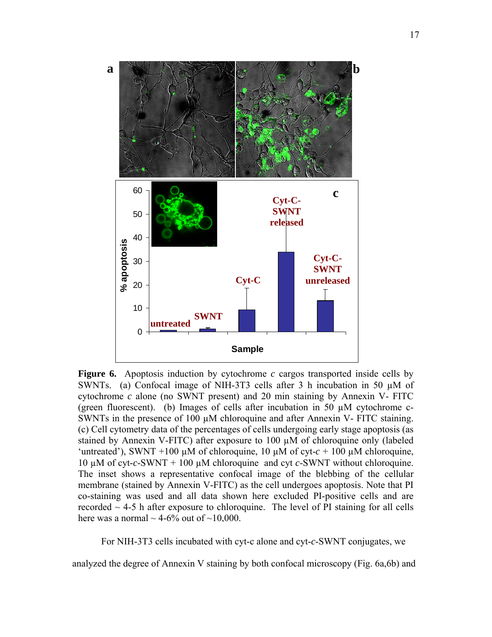

**Figure 6.** Apoptosis induction by cytochrome *c* cargos transported inside cells by SWNTs. (a) Confocal image of NIH-3T3 cells after 3 h incubation in 50  $\mu$ M of cytochrome *c* alone (no SWNT present) and 20 min staining by Annexin V- FITC (green fluorescent). (b) Images of cells after incubation in 50 µM cytochrome c-SWNTs in the presence of 100  $\mu$ M chloroquine and after Annexin V- FITC staining. (c) Cell cytometry data of the percentages of cells undergoing early stage apoptosis (as stained by Annexin V-FITC) after exposure to 100 µM of chloroquine only (labeled 'untreated'), SWNT +100  $\mu$ M of chloroquine, 10  $\mu$ M of cyt- $c + 100 \mu$ M chloroquine, 10 µM of cyt-*c*-SWNT + 100 µM chloroquine and cyt *c*-SWNT without chloroquine. The inset shows a representative confocal image of the blebbing of the cellular membrane (stained by Annexin V-FITC) as the cell undergoes apoptosis. Note that PI co-staining was used and all data shown here excluded PI-positive cells and are recorded  $\sim$  4-5 h after exposure to chloroquine. The level of PI staining for all cells here was a normal  $\sim$  4-6% out of  $\sim$ 10,000.

For NIH-3T3 cells incubated with cyt-c alone and cyt-*c*-SWNT conjugates, we

analyzed the degree of Annexin V staining by both confocal microscopy (Fig. 6a,6b) and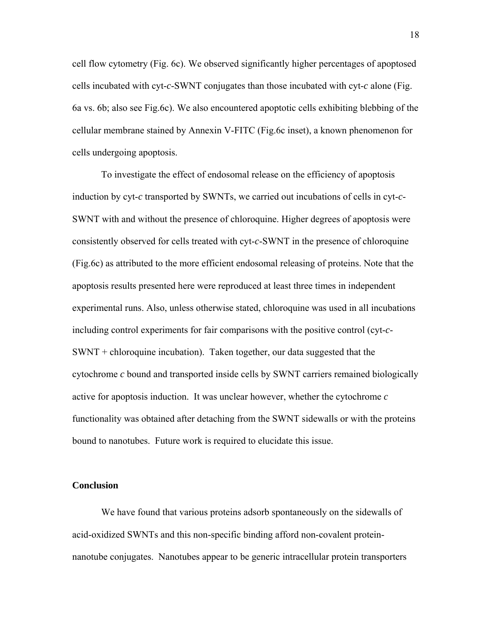cell flow cytometry (Fig. 6c). We observed significantly higher percentages of apoptosed cells incubated with cyt-*c*-SWNT conjugates than those incubated with cyt-*c* alone (Fig. 6a vs. 6b; also see Fig.6c). We also encountered apoptotic cells exhibiting blebbing of the cellular membrane stained by Annexin V-FITC (Fig.6c inset), a known phenomenon for cells undergoing apoptosis.

To investigate the effect of endosomal release on the efficiency of apoptosis induction by cyt-*c* transported by SWNTs, we carried out incubations of cells in cyt-*c*-SWNT with and without the presence of chloroquine. Higher degrees of apoptosis were consistently observed for cells treated with cyt-*c*-SWNT in the presence of chloroquine (Fig.6c) as attributed to the more efficient endosomal releasing of proteins. Note that the apoptosis results presented here were reproduced at least three times in independent experimental runs. Also, unless otherwise stated, chloroquine was used in all incubations including control experiments for fair comparisons with the positive control (cyt-*c*-SWNT + chloroquine incubation). Taken together, our data suggested that the cytochrome *c* bound and transported inside cells by SWNT carriers remained biologically active for apoptosis induction. It was unclear however, whether the cytochrome *c* functionality was obtained after detaching from the SWNT sidewalls or with the proteins bound to nanotubes. Future work is required to elucidate this issue.

#### **Conclusion**

We have found that various proteins adsorb spontaneously on the sidewalls of acid-oxidized SWNTs and this non-specific binding afford non-covalent proteinnanotube conjugates. Nanotubes appear to be generic intracellular protein transporters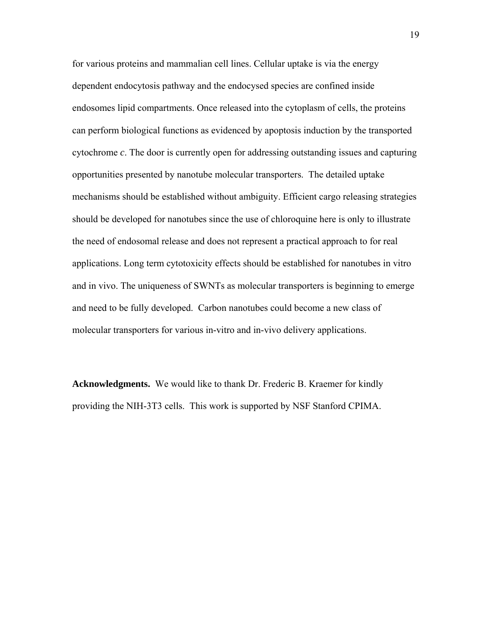for various proteins and mammalian cell lines. Cellular uptake is via the energy dependent endocytosis pathway and the endocysed species are confined inside endosomes lipid compartments. Once released into the cytoplasm of cells, the proteins can perform biological functions as evidenced by apoptosis induction by the transported cytochrome *c*. The door is currently open for addressing outstanding issues and capturing opportunities presented by nanotube molecular transporters. The detailed uptake mechanisms should be established without ambiguity. Efficient cargo releasing strategies should be developed for nanotubes since the use of chloroquine here is only to illustrate the need of endosomal release and does not represent a practical approach to for real applications. Long term cytotoxicity effects should be established for nanotubes in vitro and in vivo. The uniqueness of SWNTs as molecular transporters is beginning to emerge and need to be fully developed. Carbon nanotubes could become a new class of molecular transporters for various in-vitro and in-vivo delivery applications.

**Acknowledgments.** We would like to thank Dr. Frederic B. Kraemer for kindly providing the NIH-3T3 cells. This work is supported by NSF Stanford CPIMA.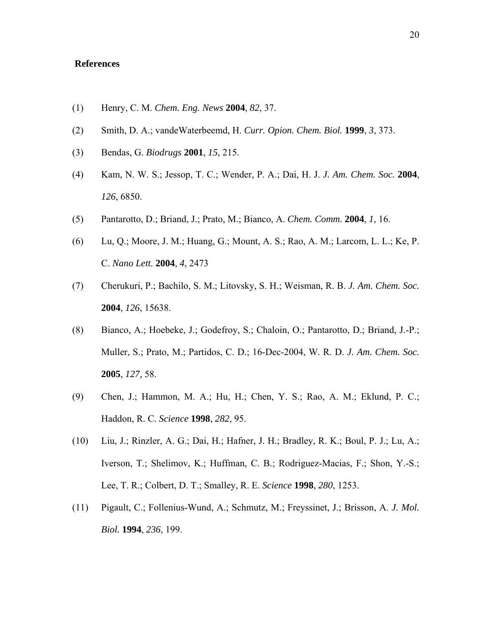### **References**

- (1) Henry, C. M. *Chem. Eng. News* **2004**, *82*, 37.
- (2) Smith, D. A.; vandeWaterbeemd, H. *Curr. Opion. Chem. Biol.* **1999**, *3*, 373.
- (3) Bendas, G. *Biodrugs* **2001**, *15*, 215.
- (4) Kam, N. W. S.; Jessop, T. C.; Wender, P. A.; Dai, H. J. *J. Am. Chem. Soc.* **2004**, *126*, 6850.
- (5) Pantarotto, D.; Briand, J.; Prato, M.; Bianco, A. *Chem. Comm.* **2004**, *1*, 16.
- (6) Lu, Q.; Moore, J. M.; Huang, G.; Mount, A. S.; Rao, A. M.; Larcom, L. L.; Ke, P. C. *Nano Lett.* **2004**, *4*, 2473
- (7) Cherukuri, P.; Bachilo, S. M.; Litovsky, S. H.; Weisman, R. B. *J. Am. Chem. Soc.* **2004**, *126*, 15638.
- (8) Bianco, A.; Hoebeke, J.; Godefroy, S.; Chaloin, O.; Pantarotto, D.; Briand, J.-P.; Muller, S.; Prato, M.; Partidos, C. D.; 16-Dec-2004, W. R. D. *J. Am. Chem. Soc.* **2005**, *127,* 58.
- (9) Chen, J.; Hammon, M. A.; Hu, H.; Chen, Y. S.; Rao, A. M.; Eklund, P. C.; Haddon, R. C. *Science* **1998**, *282*, 95.
- (10) Liu, J.; Rinzler, A. G.; Dai, H.; Hafner, J. H.; Bradley, R. K.; Boul, P. J.; Lu, A.; Iverson, T.; Shelimov, K.; Huffman, C. B.; Rodriguez-Macias, F.; Shon, Y.-S.; Lee, T. R.; Colbert, D. T.; Smalley, R. E. *Science* **1998**, *280*, 1253.
- (11) Pigault, C.; Follenius-Wund, A.; Schmutz, M.; Freyssinet, J.; Brisson, A. *J. Mol. Biol.* **1994**, *236*, 199.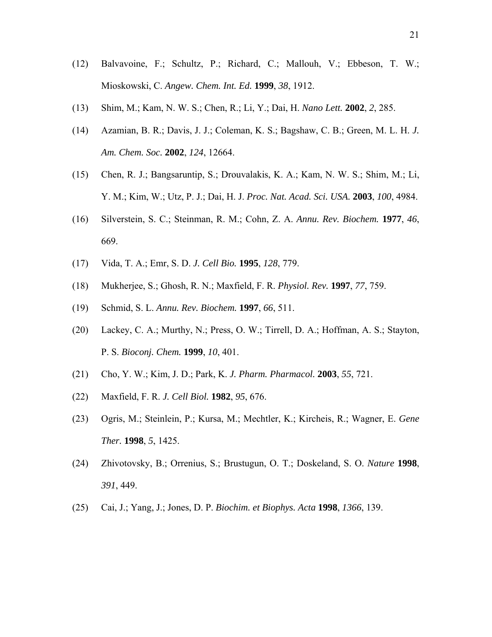- (12) Balvavoine, F.; Schultz, P.; Richard, C.; Mallouh, V.; Ebbeson, T. W.; Mioskowski, C. *Angew. Chem. Int. Ed.* **1999**, *38*, 1912.
- (13) Shim, M.; Kam, N. W. S.; Chen, R.; Li, Y.; Dai, H. *Nano Lett.* **2002**, *2*, 285.
- (14) Azamian, B. R.; Davis, J. J.; Coleman, K. S.; Bagshaw, C. B.; Green, M. L. H. *J. Am. Chem. Soc.* **2002**, *124*, 12664.
- (15) Chen, R. J.; Bangsaruntip, S.; Drouvalakis, K. A.; Kam, N. W. S.; Shim, M.; Li, Y. M.; Kim, W.; Utz, P. J.; Dai, H. J. *Proc. Nat. Acad. Sci. USA.* **2003**, *100*, 4984.
- (16) Silverstein, S. C.; Steinman, R. M.; Cohn, Z. A. *Annu. Rev. Biochem.* **1977**, *46*, 669.
- (17) Vida, T. A.; Emr, S. D. *J. Cell Bio.* **1995**, *128*, 779.
- (18) Mukherjee, S.; Ghosh, R. N.; Maxfield, F. R. *Physiol. Rev.* **1997**, *77*, 759.
- (19) Schmid, S. L. *Annu. Rev. Biochem.* **1997**, *66*, 511.
- (20) Lackey, C. A.; Murthy, N.; Press, O. W.; Tirrell, D. A.; Hoffman, A. S.; Stayton, P. S. *Bioconj. Chem.* **1999**, *10*, 401.
- (21) Cho, Y. W.; Kim, J. D.; Park, K. *J. Pharm. Pharmacol.* **2003**, *55*, 721.
- (22) Maxfield, F. R. *J. Cell Biol.* **1982**, *95*, 676.
- (23) Ogris, M.; Steinlein, P.; Kursa, M.; Mechtler, K.; Kircheis, R.; Wagner, E. *Gene Ther.* **1998**, *5*, 1425.
- (24) Zhivotovsky, B.; Orrenius, S.; Brustugun, O. T.; Doskeland, S. O. *Nature* **1998**, *391*, 449.
- (25) Cai, J.; Yang, J.; Jones, D. P. *Biochim. et Biophys. Acta* **1998**, *1366*, 139.